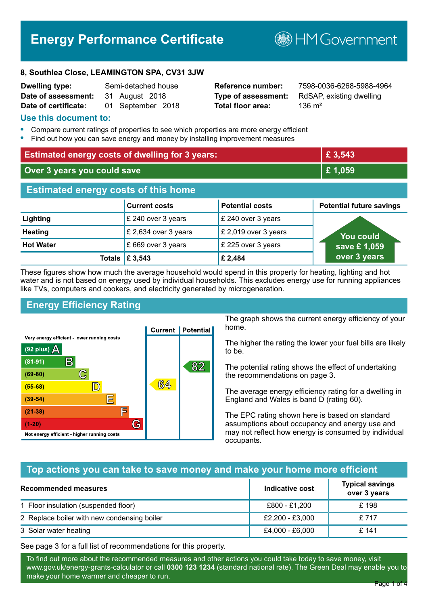# **Energy Performance Certificate**

**B**HM Government

#### **8, Southlea Close, LEAMINGTON SPA, CV31 3JW**

| <b>Dwelling type:</b> | Semi-detached house |
|-----------------------|---------------------|
| Date of assessment:   | 31 August 2018      |
| Date of certificate:  | 01 September 2018   |

**Total floor area:** 136 m<sup>2</sup>

**Reference number:** 7598-0036-6268-5988-4964 **Type of assessment:** RdSAP, existing dwelling

#### **Use this document to:**

- **•** Compare current ratings of properties to see which properties are more energy efficient
- **•** Find out how you can save energy and money by installing improvement measures

| <b>Estimated energy costs of dwelling for 3 years:</b> |                           |                        | £ 3,543                         |
|--------------------------------------------------------|---------------------------|------------------------|---------------------------------|
| Over 3 years you could save                            |                           |                        | £1,059                          |
| <b>Estimated energy costs of this home</b>             |                           |                        |                                 |
|                                                        | <b>Current costs</b>      | <b>Potential costs</b> | <b>Potential future savings</b> |
| Lighting                                               | £ 240 over 3 years        | £ 240 over 3 years     |                                 |
| <b>Heating</b>                                         | £ 2,634 over 3 years      | £ 2,019 over 3 years   | <b>You could</b>                |
| <b>Hot Water</b>                                       | £669 over 3 years         | £ 225 over 3 years     | save £1,059                     |
|                                                        | Totals $\mathsf{E}$ 3,543 | £ 2,484                | over 3 years                    |

These figures show how much the average household would spend in this property for heating, lighting and hot water and is not based on energy used by individual households. This excludes energy use for running appliances like TVs, computers and cookers, and electricity generated by microgeneration.

# **Energy Efficiency Rating**



The graph shows the current energy efficiency of your home.

The higher the rating the lower your fuel bills are likely to be.

The potential rating shows the effect of undertaking the recommendations on page 3.

The average energy efficiency rating for a dwelling in England and Wales is band D (rating 60).

The EPC rating shown here is based on standard assumptions about occupancy and energy use and may not reflect how energy is consumed by individual occupants.

# **Top actions you can take to save money and make your home more efficient**

| Recommended measures                        | Indicative cost | <b>Typical savings</b><br>over 3 years |
|---------------------------------------------|-----------------|----------------------------------------|
| 1 Floor insulation (suspended floor)        | £800 - £1,200   | £198                                   |
| 2 Replace boiler with new condensing boiler | £2,200 - £3,000 | £717                                   |
| 3 Solar water heating                       | £4,000 - £6,000 | £ 141                                  |

See page 3 for a full list of recommendations for this property.

To find out more about the recommended measures and other actions you could take today to save money, visit www.gov.uk/energy-grants-calculator or call **0300 123 1234** (standard national rate). The Green Deal may enable you to make your home warmer and cheaper to run.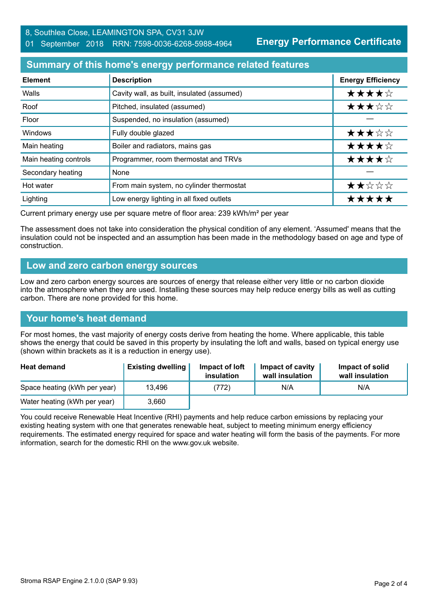**Energy Performance Certificate**

# **Summary of this home's energy performance related features**

| <b>Element</b>        | <b>Description</b>                         | <b>Energy Efficiency</b> |
|-----------------------|--------------------------------------------|--------------------------|
| Walls                 | Cavity wall, as built, insulated (assumed) | ★★★★☆                    |
| Roof                  | Pitched, insulated (assumed)               | ★★★☆☆                    |
| Floor                 | Suspended, no insulation (assumed)         |                          |
| Windows               | Fully double glazed                        | ★★★☆☆                    |
| Main heating          | Boiler and radiators, mains gas            | ★★★★☆                    |
| Main heating controls | Programmer, room thermostat and TRVs       | ★★★★☆                    |
| Secondary heating     | None                                       |                          |
| Hot water             | From main system, no cylinder thermostat   | ★★☆☆☆                    |
| Lighting              | Low energy lighting in all fixed outlets   | *****                    |

Current primary energy use per square metre of floor area: 239 kWh/m² per year

The assessment does not take into consideration the physical condition of any element. 'Assumed' means that the insulation could not be inspected and an assumption has been made in the methodology based on age and type of construction.

#### **Low and zero carbon energy sources**

Low and zero carbon energy sources are sources of energy that release either very little or no carbon dioxide into the atmosphere when they are used. Installing these sources may help reduce energy bills as well as cutting carbon. There are none provided for this home.

# **Your home's heat demand**

For most homes, the vast majority of energy costs derive from heating the home. Where applicable, this table shows the energy that could be saved in this property by insulating the loft and walls, based on typical energy use (shown within brackets as it is a reduction in energy use).

| <b>Heat demand</b>           | <b>Existing dwelling</b> | Impact of loft<br>insulation | Impact of cavity<br>wall insulation | Impact of solid<br>wall insulation |
|------------------------------|--------------------------|------------------------------|-------------------------------------|------------------------------------|
| Space heating (kWh per year) | 13.496                   | (772)                        | N/A                                 | N/A                                |
| Water heating (kWh per year) | 3.660                    |                              |                                     |                                    |

You could receive Renewable Heat Incentive (RHI) payments and help reduce carbon emissions by replacing your existing heating system with one that generates renewable heat, subject to meeting minimum energy efficiency requirements. The estimated energy required for space and water heating will form the basis of the payments. For more information, search for the domestic RHI on the www.gov.uk website.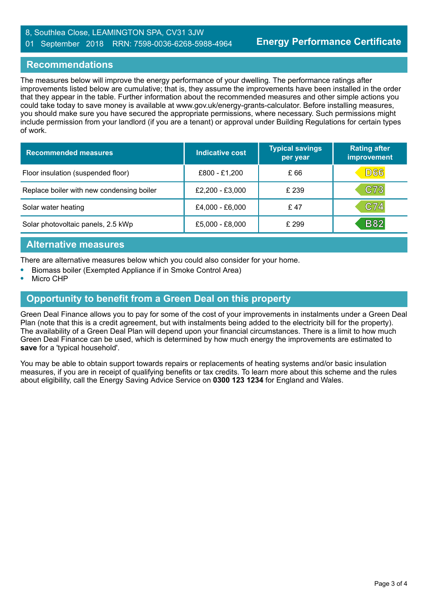#### 8, Southlea Close, LEAMINGTON SPA, CV31 3JW 01 September 2018 RRN: 7598-0036-6268-5988-4964

# **Recommendations**

The measures below will improve the energy performance of your dwelling. The performance ratings after improvements listed below are cumulative; that is, they assume the improvements have been installed in the order that they appear in the table. Further information about the recommended measures and other simple actions you could take today to save money is available at www.gov.uk/energy-grants-calculator. Before installing measures, you should make sure you have secured the appropriate permissions, where necessary. Such permissions might include permission from your landlord (if you are a tenant) or approval under Building Regulations for certain types of work.

| <b>Recommended measures</b>               | Indicative cost | <b>Typical savings</b><br>per year | <b>Rating after</b><br>improvement |
|-------------------------------------------|-----------------|------------------------------------|------------------------------------|
| Floor insulation (suspended floor)        | £800 - £1,200   | £ 66                               | <b>D66</b>                         |
| Replace boiler with new condensing boiler | £2,200 - £3,000 | £ 239                              | C73                                |
| Solar water heating                       | £4,000 - £6,000 | £ 47                               | C74                                |
| Solar photovoltaic panels, 2.5 kWp        | £5,000 - £8,000 | £ 299                              | <b>B82</b>                         |

#### **Alternative measures**

There are alternative measures below which you could also consider for your home.

- **•** Biomass boiler (Exempted Appliance if in Smoke Control Area)
- **•** Micro CHP

# **Opportunity to benefit from a Green Deal on this property**

Green Deal Finance allows you to pay for some of the cost of your improvements in instalments under a Green Deal Plan (note that this is a credit agreement, but with instalments being added to the electricity bill for the property). The availability of a Green Deal Plan will depend upon your financial circumstances. There is a limit to how much Green Deal Finance can be used, which is determined by how much energy the improvements are estimated to **save** for a 'typical household'.

You may be able to obtain support towards repairs or replacements of heating systems and/or basic insulation measures, if you are in receipt of qualifying benefits or tax credits. To learn more about this scheme and the rules about eligibility, call the Energy Saving Advice Service on **0300 123 1234** for England and Wales.